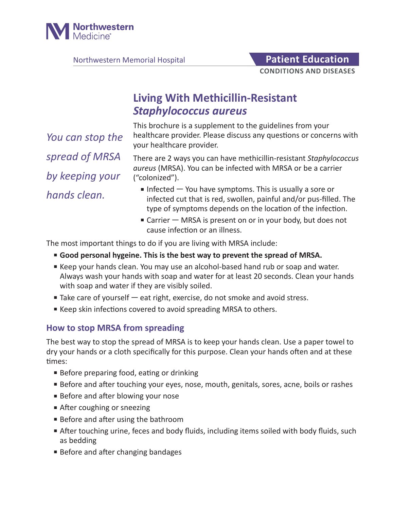

Northwestern Memorial Hospital **Patient Education** 

**CONDITIONS AND DISEASES**

# **Living With Methicillin-Resistant**  *Staphylococcus aureus*

This brochure is a supplement to the guidelines from your healthcare provider. Please discuss any questions or concerns with your healthcare provider.

*You can stop the spread of MRSA by keeping your hands clean.*

There are 2 ways you can have methicillin-resistant *Staphylococcus aureus* (MRSA). You can be infected with MRSA or be a carrier ("colonized").

- $\blacksquare$  Infected  $\blacksquare$  You have symptoms. This is usually a sore or infected cut that is red, swollen, painful and/or pus-filled. The type of symptoms depends on the location of the infection.
- Carrier MRSA is present on or in your body, but does not cause infection or an illness.

The most important things to do if you are living with MRSA include:

- **Good personal hygeine. This is the best way to prevent the spread of MRSA.**
- Keep your hands clean. You may use an alcohol-based hand rub or soap and water. Always wash your hands with soap and water for at least 20 seconds. Clean your hands with soap and water if they are visibly soiled.
- Take care of yourself eat right, exercise, do not smoke and avoid stress.
- Keep skin infections covered to avoid spreading MRSA to others.

## **How to stop MRSA from spreading**

The best way to stop the spread of MRSA is to keep your hands clean. Use a paper towel to dry your hands or a cloth specifically for this purpose. Clean your hands often and at these times:

- Before preparing food, eating or drinking
- Before and after touching your eyes, nose, mouth, genitals, sores, acne, boils or rashes
- Before and after blowing your nose
- After coughing or sneezing
- Before and after using the bathroom
- After touching urine, feces and body fluids, including items soiled with body fluids, such as bedding
- Before and after changing bandages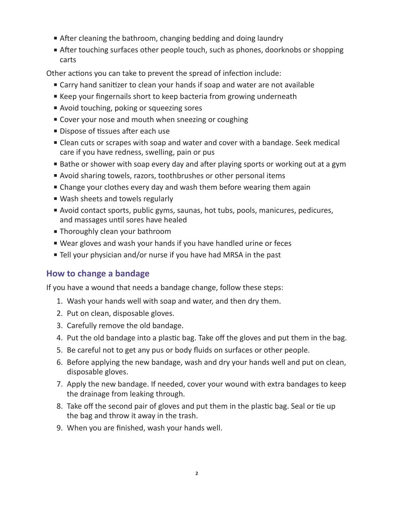- After cleaning the bathroom, changing bedding and doing laundry
- After touching surfaces other people touch, such as phones, doorknobs or shopping carts

Other actions you can take to prevent the spread of infection include:

- Carry hand sanitizer to clean your hands if soap and water are not available
- Keep your fingernails short to keep bacteria from growing underneath
- Avoid touching, poking or squeezing sores
- Cover your nose and mouth when sneezing or coughing
- Dispose of tissues after each use
- Clean cuts or scrapes with soap and water and cover with a bandage. Seek medical care if you have redness, swelling, pain or pus
- Bathe or shower with soap every day and after playing sports or working out at a gym
- Avoid sharing towels, razors, toothbrushes or other personal items
- Change your clothes every day and wash them before wearing them again
- Wash sheets and towels regularly
- Avoid contact sports, public gyms, saunas, hot tubs, pools, manicures, pedicures, and massages until sores have healed
- Thoroughly clean your bathroom
- Wear gloves and wash your hands if you have handled urine or feces
- Tell your physician and/or nurse if you have had MRSA in the past

# **How to change a bandage**

If you have a wound that needs a bandage change, follow these steps:

- 1. Wash your hands well with soap and water, and then dry them.
- 2. Put on clean, disposable gloves.
- 3. Carefully remove the old bandage.
- 4. Put the old bandage into a plastic bag. Take off the gloves and put them in the bag.
- 5. Be careful not to get any pus or body fluids on surfaces or other people.
- 6. Before applying the new bandage, wash and dry your hands well and put on clean, disposable gloves.
- 7. Apply the new bandage. If needed, cover your wound with extra bandages to keep the drainage from leaking through.
- 8. Take off the second pair of gloves and put them in the plastic bag. Seal or tie up the bag and throw it away in the trash.
- 9. When you are finished, wash your hands well.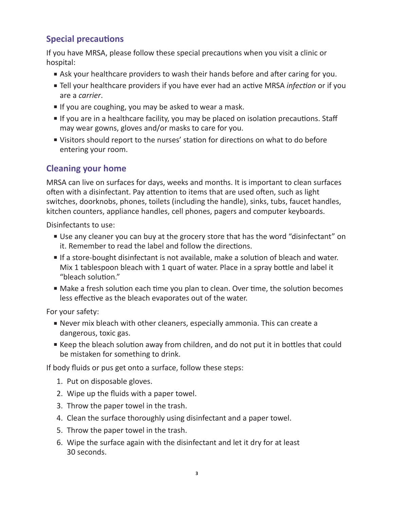# **Special precautions**

If you have MRSA, please follow these special precautions when you visit a clinic or hospital:

- Ask your healthcare providers to wash their hands before and after caring for you.
- Tell your healthcare providers if you have ever had an active MRSA *infection* or if you are a *carrier*.
- If you are coughing, you may be asked to wear a mask.
- If you are in a healthcare facility, you may be placed on isolation precautions. Staff may wear gowns, gloves and/or masks to care for you.
- Visitors should report to the nurses' station for directions on what to do before entering your room.

### **Cleaning your home**

MRSA can live on surfaces for days, weeks and months. It is important to clean surfaces often with a disinfectant. Pay attention to items that are used often, such as light switches, doorknobs, phones, toilets (including the handle), sinks, tubs, faucet handles, kitchen counters, appliance handles, cell phones, pagers and computer keyboards.

Disinfectants to use:

- Use any cleaner you can buy at the grocery store that has the word "disinfectant" on it. Remember to read the label and follow the directions.
- If a store-bought disinfectant is not available, make a solution of bleach and water. Mix 1 tablespoon bleach with 1 quart of water. Place in a spray bottle and label it "bleach solution."
- Make a fresh solution each time you plan to clean. Over time, the solution becomes less effective as the bleach evaporates out of the water.

For your safety:

- Never mix bleach with other cleaners, especially ammonia. This can create a dangerous, toxic gas.
- Keep the bleach solution away from children, and do not put it in bottles that could be mistaken for something to drink.

If body fluids or pus get onto a surface, follow these steps:

- 1. Put on disposable gloves.
- 2. Wipe up the fluids with a paper towel.
- 3. Throw the paper towel in the trash.
- 4. Clean the surface thoroughly using disinfectant and a paper towel.
- 5. Throw the paper towel in the trash.
- 6. Wipe the surface again with the disinfectant and let it dry for at least 30 seconds.